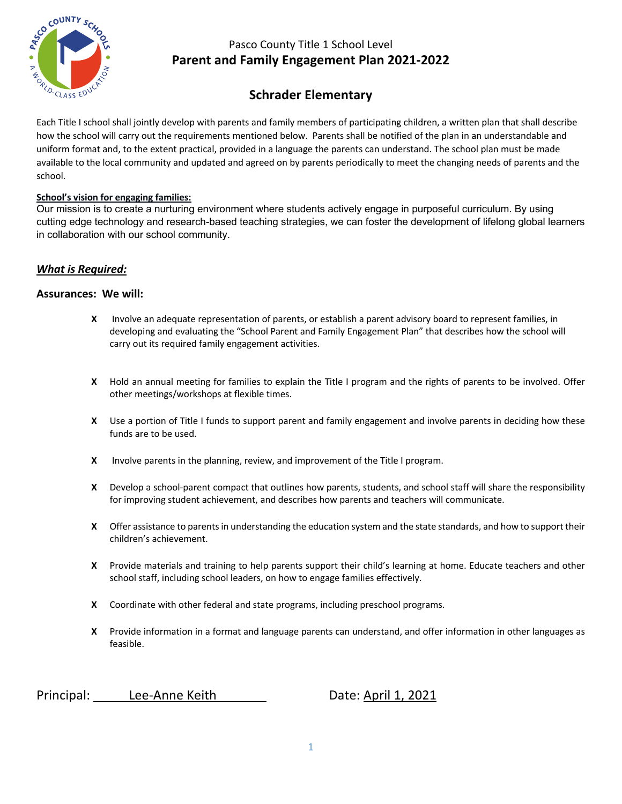

## **Schrader Elementary**

Each Title I school shall jointly develop with parents and family members of participating children, a written plan that shall describe how the school will carry out the requirements mentioned below. Parents shall be notified of the plan in an understandable and uniform format and, to the extent practical, provided in a language the parents can understand. The school plan must be made available to the local community and updated and agreed on by parents periodically to meet the changing needs of parents and the school.

#### **School's vision for engaging families:**

Our mission is to create a nurturing environment where students actively engage in purposeful curriculum. By using cutting edge technology and research-based teaching strategies, we can foster the development of lifelong global learners in collaboration with our school community.

#### *What is Required:*

#### **Assurances: We will:**

- **X** Involve an adequate representation of parents, or establish a parent advisory board to represent families, in developing and evaluating the "School Parent and Family Engagement Plan" that describes how the school will carry out its required family engagement activities.
- **X** Hold an annual meeting for families to explain the Title I program and the rights of parents to be involved. Offer other meetings/workshops at flexible times.
- **X** Use a portion of Title I funds to support parent and family engagement and involve parents in deciding how these funds are to be used.
- **X** Involve parents in the planning, review, and improvement of the Title I program.
- **X** Develop a school-parent compact that outlines how parents, students, and school staff will share the responsibility for improving student achievement, and describes how parents and teachers will communicate.
- **X** Offer assistance to parents in understanding the education system and the state standards, and how to support their children's achievement.
- **X** Provide materials and training to help parents support their child's learning at home. Educate teachers and other school staff, including school leaders, on how to engage families effectively.
- **X** Coordinate with other federal and state programs, including preschool programs.
- **X** Provide information in a format and language parents can understand, and offer information in other languages as feasible.

Principal: Lee-Anne Keith Date: April 1, 2021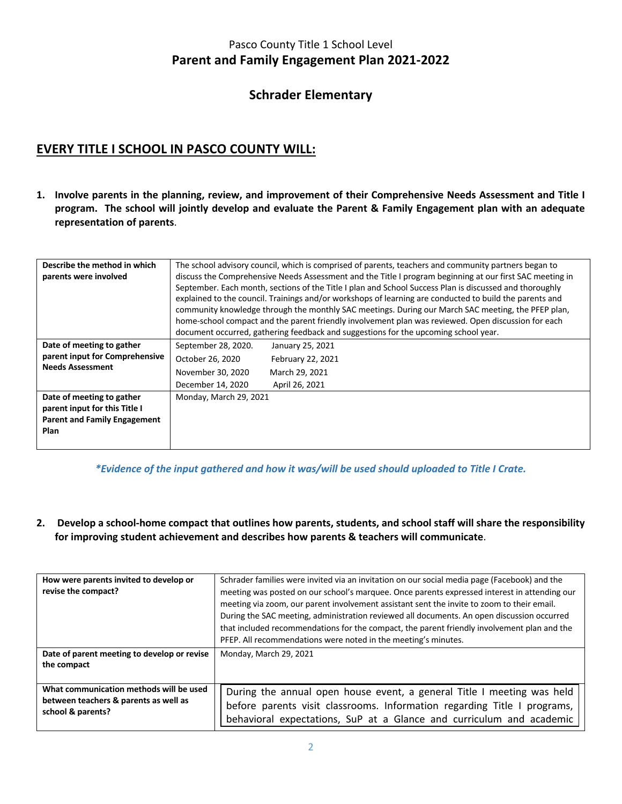### **Schrader Elementary**

## **EVERY TITLE I SCHOOL IN PASCO COUNTY WILL:**

**1. Involve parents in the planning, review, and improvement of their Comprehensive Needs Assessment and Title I program. The school will jointly develop and evaluate the Parent & Family Engagement plan with an adequate representation of parents**.

| Describe the method in which<br>parents were involved                                                            | The school advisory council, which is comprised of parents, teachers and community partners began to<br>discuss the Comprehensive Needs Assessment and the Title I program beginning at our first SAC meeting in<br>September. Each month, sections of the Title I plan and School Success Plan is discussed and thoroughly<br>explained to the council. Trainings and/or workshops of learning are conducted to build the parents and<br>community knowledge through the monthly SAC meetings. During our March SAC meeting, the PFEP plan,<br>home-school compact and the parent friendly involvement plan was reviewed. Open discussion for each<br>document occurred, gathering feedback and suggestions for the upcoming school year. |                                                                           |  |  |
|------------------------------------------------------------------------------------------------------------------|--------------------------------------------------------------------------------------------------------------------------------------------------------------------------------------------------------------------------------------------------------------------------------------------------------------------------------------------------------------------------------------------------------------------------------------------------------------------------------------------------------------------------------------------------------------------------------------------------------------------------------------------------------------------------------------------------------------------------------------------|---------------------------------------------------------------------------|--|--|
| Date of meeting to gather<br>parent input for Comprehensive<br><b>Needs Assessment</b>                           | September 28, 2020.<br>October 26, 2020<br>November 30, 2020<br>December 14, 2020                                                                                                                                                                                                                                                                                                                                                                                                                                                                                                                                                                                                                                                          | January 25, 2021<br>February 22, 2021<br>March 29, 2021<br>April 26, 2021 |  |  |
| Date of meeting to gather<br>parent input for this Title I<br><b>Parent and Family Engagement</b><br><b>Plan</b> | Monday, March 29, 2021                                                                                                                                                                                                                                                                                                                                                                                                                                                                                                                                                                                                                                                                                                                     |                                                                           |  |  |

*\*Evidence of the input gathered and how it was/will be used should uploaded to Title I Crate.*

**2. Develop a school-home compact that outlines how parents, students, and school staff will share the responsibility for improving student achievement and describes how parents & teachers will communicate**.

| How were parents invited to develop or<br>revise the compact?                                         | Schrader families were invited via an invitation on our social media page (Facebook) and the<br>meeting was posted on our school's marquee. Once parents expressed interest in attending our<br>meeting via zoom, our parent involvement assistant sent the invite to zoom to their email.<br>During the SAC meeting, administration reviewed all documents. An open discussion occurred<br>that included recommendations for the compact, the parent friendly involvement plan and the<br>PFEP. All recommendations were noted in the meeting's minutes. |
|-------------------------------------------------------------------------------------------------------|-----------------------------------------------------------------------------------------------------------------------------------------------------------------------------------------------------------------------------------------------------------------------------------------------------------------------------------------------------------------------------------------------------------------------------------------------------------------------------------------------------------------------------------------------------------|
| Date of parent meeting to develop or revise<br>the compact                                            | Monday, March 29, 2021                                                                                                                                                                                                                                                                                                                                                                                                                                                                                                                                    |
| What communication methods will be used<br>between teachers & parents as well as<br>school & parents? | During the annual open house event, a general Title I meeting was held<br>before parents visit classrooms. Information regarding Title I programs,<br>behavioral expectations, SuP at a Glance and curriculum and academic                                                                                                                                                                                                                                                                                                                                |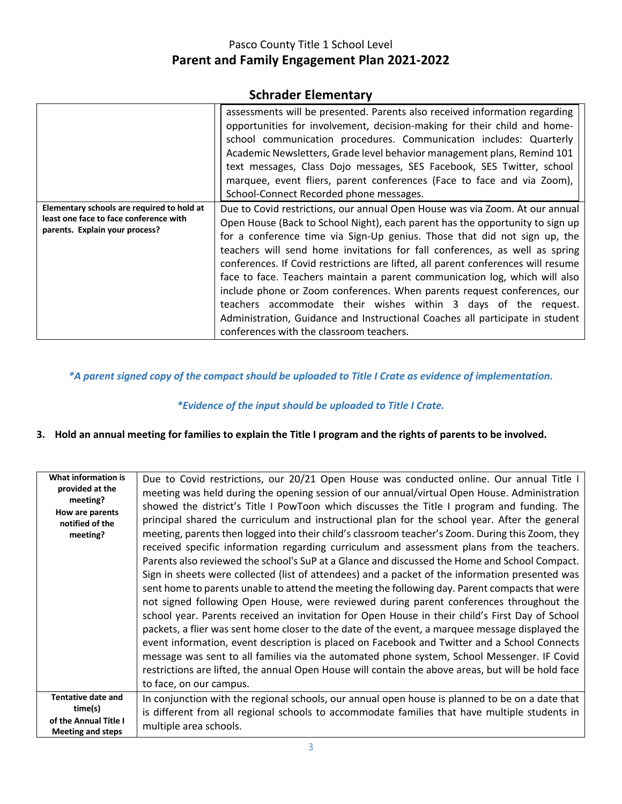### **Schrader Elementary**

|                                                                                                                        | assessments will be presented. Parents also received information regarding<br>opportunities for involvement, decision-making for their child and home-<br>school communication procedures. Communication includes: Quarterly<br>Academic Newsletters, Grade level behavior management plans, Remind 101<br>text messages, Class Dojo messages, SES Facebook, SES Twitter, school<br>marquee, event fliers, parent conferences (Face to face and via Zoom),<br>School-Connect Recorded phone messages.                                                                                                                                                                                                                                                                     |
|------------------------------------------------------------------------------------------------------------------------|---------------------------------------------------------------------------------------------------------------------------------------------------------------------------------------------------------------------------------------------------------------------------------------------------------------------------------------------------------------------------------------------------------------------------------------------------------------------------------------------------------------------------------------------------------------------------------------------------------------------------------------------------------------------------------------------------------------------------------------------------------------------------|
| Elementary schools are required to hold at<br>least one face to face conference with<br>parents. Explain your process? | Due to Covid restrictions, our annual Open House was via Zoom. At our annual<br>Open House (Back to School Night), each parent has the opportunity to sign up<br>for a conference time via Sign-Up genius. Those that did not sign up, the<br>teachers will send home invitations for fall conferences, as well as spring<br>conferences. If Covid restrictions are lifted, all parent conferences will resume<br>face to face. Teachers maintain a parent communication log, which will also<br>include phone or Zoom conferences. When parents request conferences, our<br>teachers accommodate their wishes within 3 days of the request.<br>Administration, Guidance and Instructional Coaches all participate in student<br>conferences with the classroom teachers. |

#### *\*A parent signed copy of the compact should be uploaded to Title I Crate as evidence of implementation.*

#### *\*Evidence of the input should be uploaded to Title I Crate.*

#### **3. Hold an annual meeting for families to explain the Title I program and the rights of parents to be involved.**

| What information is<br>provided at the<br>meeting?<br>How are parents<br>notified of the<br>meeting? | Due to Covid restrictions, our 20/21 Open House was conducted online. Our annual Title I<br>meeting was held during the opening session of our annual/virtual Open House. Administration<br>showed the district's Title I PowToon which discusses the Title I program and funding. The<br>principal shared the curriculum and instructional plan for the school year. After the general<br>meeting, parents then logged into their child's classroom teacher's Zoom. During this Zoom, they<br>received specific information regarding curriculum and assessment plans from the teachers.<br>Parents also reviewed the school's SuP at a Glance and discussed the Home and School Compact.<br>Sign in sheets were collected (list of attendees) and a packet of the information presented was<br>sent home to parents unable to attend the meeting the following day. Parent compacts that were<br>not signed following Open House, were reviewed during parent conferences throughout the<br>school year. Parents received an invitation for Open House in their child's First Day of School<br>packets, a flier was sent home closer to the date of the event, a marquee message displayed the<br>event information, event description is placed on Facebook and Twitter and a School Connects<br>message was sent to all families via the automated phone system, School Messenger. IF Covid<br>restrictions are lifted, the annual Open House will contain the above areas, but will be hold face<br>to face, on our campus. |
|------------------------------------------------------------------------------------------------------|----------------------------------------------------------------------------------------------------------------------------------------------------------------------------------------------------------------------------------------------------------------------------------------------------------------------------------------------------------------------------------------------------------------------------------------------------------------------------------------------------------------------------------------------------------------------------------------------------------------------------------------------------------------------------------------------------------------------------------------------------------------------------------------------------------------------------------------------------------------------------------------------------------------------------------------------------------------------------------------------------------------------------------------------------------------------------------------------------------------------------------------------------------------------------------------------------------------------------------------------------------------------------------------------------------------------------------------------------------------------------------------------------------------------------------------------------------------------------------------------------------------------------------|
| <b>Tentative date and</b>                                                                            | In conjunction with the regional schools, our annual open house is planned to be on a date that                                                                                                                                                                                                                                                                                                                                                                                                                                                                                                                                                                                                                                                                                                                                                                                                                                                                                                                                                                                                                                                                                                                                                                                                                                                                                                                                                                                                                                  |
| time(s)<br>of the Annual Title I<br><b>Meeting and steps</b>                                         | is different from all regional schools to accommodate families that have multiple students in<br>multiple area schools.                                                                                                                                                                                                                                                                                                                                                                                                                                                                                                                                                                                                                                                                                                                                                                                                                                                                                                                                                                                                                                                                                                                                                                                                                                                                                                                                                                                                          |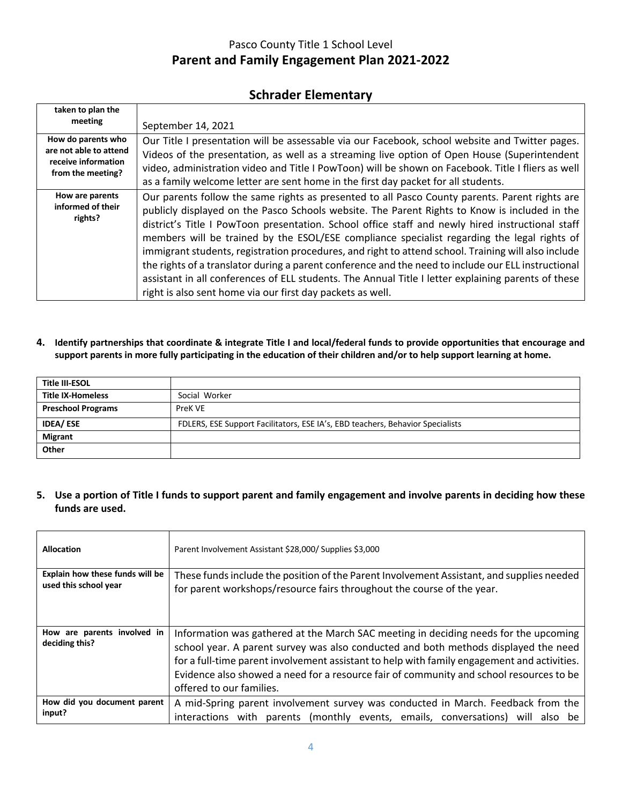### **Schrader Elementary**

| taken to plan the                                                                        |                                                                                                                                                                                                                                                                                                                                                                                                                                                                                                                                                                                                                                                                                                                                                                                       |
|------------------------------------------------------------------------------------------|---------------------------------------------------------------------------------------------------------------------------------------------------------------------------------------------------------------------------------------------------------------------------------------------------------------------------------------------------------------------------------------------------------------------------------------------------------------------------------------------------------------------------------------------------------------------------------------------------------------------------------------------------------------------------------------------------------------------------------------------------------------------------------------|
| meeting                                                                                  | September 14, 2021                                                                                                                                                                                                                                                                                                                                                                                                                                                                                                                                                                                                                                                                                                                                                                    |
| How do parents who<br>are not able to attend<br>receive information<br>from the meeting? | Our Title I presentation will be assessable via our Facebook, school website and Twitter pages.<br>Videos of the presentation, as well as a streaming live option of Open House (Superintendent<br>video, administration video and Title I PowToon) will be shown on Facebook. Title I fliers as well<br>as a family welcome letter are sent home in the first day packet for all students.                                                                                                                                                                                                                                                                                                                                                                                           |
| How are parents<br>informed of their<br>rights?                                          | Our parents follow the same rights as presented to all Pasco County parents. Parent rights are<br>publicly displayed on the Pasco Schools website. The Parent Rights to Know is included in the<br>district's Title I PowToon presentation. School office staff and newly hired instructional staff<br>members will be trained by the ESOL/ESE compliance specialist regarding the legal rights of<br>immigrant students, registration procedures, and right to attend school. Training will also include<br>the rights of a translator during a parent conference and the need to include our ELL instructional<br>assistant in all conferences of ELL students. The Annual Title I letter explaining parents of these<br>right is also sent home via our first day packets as well. |

**4. Identify partnerships that coordinate & integrate Title I and local/federal funds to provide opportunities that encourage and support parents in more fully participating in the education of their children and/or to help support learning at home.**

| <b>Title III-ESOL</b>     |                                                                                |
|---------------------------|--------------------------------------------------------------------------------|
| <b>Title IX-Homeless</b>  | Social Worker                                                                  |
| <b>Preschool Programs</b> | PreK VE                                                                        |
| <b>IDEA/ESE</b>           | FDLERS, ESE Support Facilitators, ESE IA's, EBD teachers, Behavior Specialists |
| <b>Migrant</b>            |                                                                                |
| Other                     |                                                                                |

**5. Use a portion of Title I funds to support parent and family engagement and involve parents in deciding how these funds are used.**

| <b>Allocation</b>                             | Parent Involvement Assistant \$28,000/ Supplies \$3,000                                                                                                                                                                                                                                                                                                                                           |
|-----------------------------------------------|---------------------------------------------------------------------------------------------------------------------------------------------------------------------------------------------------------------------------------------------------------------------------------------------------------------------------------------------------------------------------------------------------|
| Explain how these funds will be               | These funds include the position of the Parent Involvement Assistant, and supplies needed                                                                                                                                                                                                                                                                                                         |
| used this school year                         | for parent workshops/resource fairs throughout the course of the year.                                                                                                                                                                                                                                                                                                                            |
| How are parents involved in<br>deciding this? | Information was gathered at the March SAC meeting in deciding needs for the upcoming<br>school year. A parent survey was also conducted and both methods displayed the need<br>for a full-time parent involvement assistant to help with family engagement and activities.<br>Evidence also showed a need for a resource fair of community and school resources to be<br>offered to our families. |
| How did you document parent                   | A mid-Spring parent involvement survey was conducted in March. Feedback from the                                                                                                                                                                                                                                                                                                                  |
| input?                                        | interactions with parents (monthly events, emails, conversations) will also be                                                                                                                                                                                                                                                                                                                    |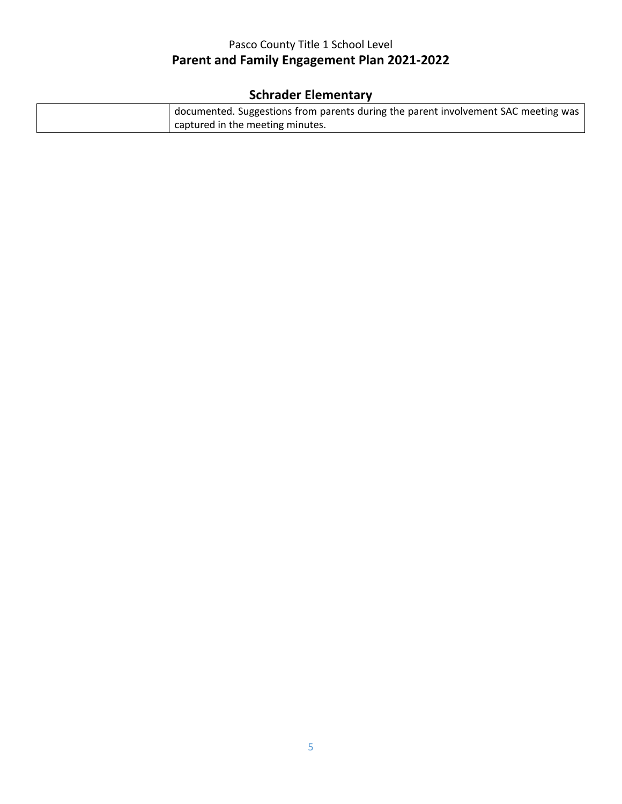# **Schrader Elementary**

| documented. Suggestions from parents during the parent involvement SAC meeting was |
|------------------------------------------------------------------------------------|
| captured in the meeting minutes.                                                   |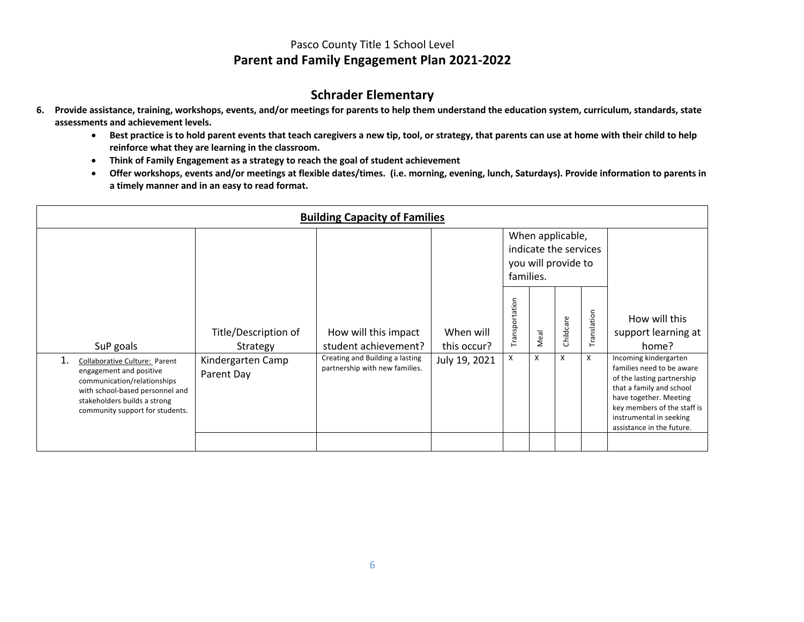#### **Schrader Elementary**

- **6. Provide assistance, training, workshops, events, and/or meetings for parents to help them understand the education system, curriculum, standards, state assessments and achievement levels.**
	- **Best practice is to hold parent events that teach caregivers a new tip, tool, or strategy, that parents can use at home with their child to help reinforce what they are learning in the classroom.**
	- **Think of Family Engagement as a strategy to reach the goal of student achievement**
	- **Offer workshops, events and/or meetings at flexible dates/times. (i.e. morning, evening, lunch, Saturdays). Provide information to parents in a timely manner and in an easy to read format.**

| <b>Building Capacity of Families</b>                                                                                                                                                          |                                  |                                                                   |                          |                   |      |                                                                  |             |                                                                                                                                                                                                                               |
|-----------------------------------------------------------------------------------------------------------------------------------------------------------------------------------------------|----------------------------------|-------------------------------------------------------------------|--------------------------|-------------------|------|------------------------------------------------------------------|-------------|-------------------------------------------------------------------------------------------------------------------------------------------------------------------------------------------------------------------------------|
|                                                                                                                                                                                               |                                  |                                                                   |                          | families.         |      | When applicable,<br>indicate the services<br>you will provide to |             |                                                                                                                                                                                                                               |
| SuP goals                                                                                                                                                                                     | Title/Description of<br>Strategy | How will this impact<br>student achievement?                      | When will<br>this occur? | ansportation<br>È | Meal | Childcare                                                        | Translation | How will this<br>support learning at<br>home?                                                                                                                                                                                 |
| Collaborative Culture: Parent<br>engagement and positive<br>communication/relationships<br>with school-based personnel and<br>stakeholders builds a strong<br>community support for students. | Kindergarten Camp<br>Parent Day  | Creating and Building a lasting<br>partnership with new families. | July 19, 2021            | X                 | X    | X                                                                | X           | Incoming kindergarten<br>families need to be aware<br>of the lasting partnership<br>that a family and school<br>have together. Meeting<br>key members of the staff is<br>instrumental in seeking<br>assistance in the future. |
|                                                                                                                                                                                               |                                  |                                                                   |                          |                   |      |                                                                  |             |                                                                                                                                                                                                                               |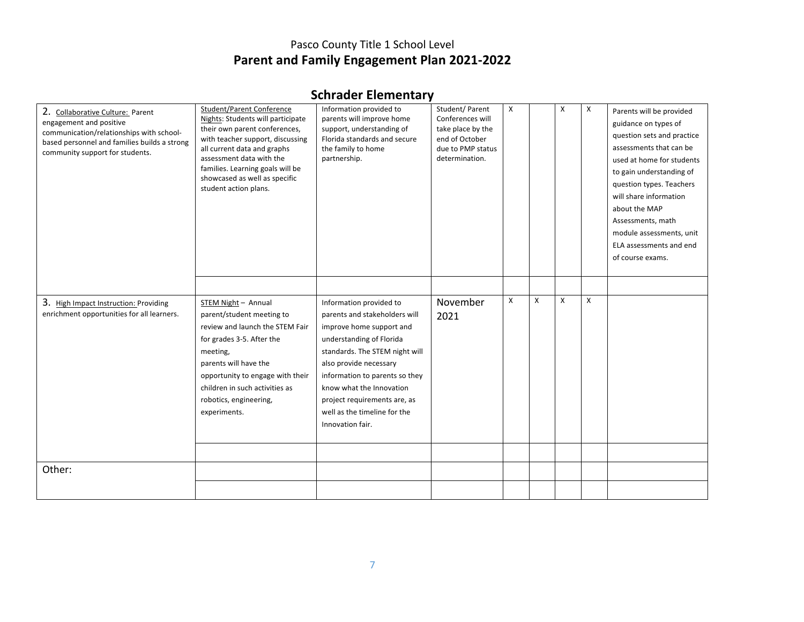# **Schrader Elementary**

| 2. Collaborative Culture: Parent<br>engagement and positive<br>communication/relationships with school-<br>based personnel and families builds a strong<br>community support for students. | <b>Student/Parent Conference</b><br>Nights: Students will participate<br>their own parent conferences,<br>with teacher support, discussing<br>all current data and graphs<br>assessment data with the<br>families. Learning goals will be<br>showcased as well as specific<br>student action plans. | Information provided to<br>parents will improve home<br>support, understanding of<br>Florida standards and secure<br>the family to home<br>partnership.                                                                                                                                                                        | Student/ Parent<br>Conferences will<br>take place by the<br>end of October<br>due to PMP status<br>determination. | X |   | X | X | Parents will be provided<br>guidance on types of<br>question sets and practice<br>assessments that can be<br>used at home for students<br>to gain understanding of<br>question types. Teachers<br>will share information<br>about the MAP<br>Assessments, math<br>module assessments, unit<br>ELA assessments and end<br>of course exams. |
|--------------------------------------------------------------------------------------------------------------------------------------------------------------------------------------------|-----------------------------------------------------------------------------------------------------------------------------------------------------------------------------------------------------------------------------------------------------------------------------------------------------|--------------------------------------------------------------------------------------------------------------------------------------------------------------------------------------------------------------------------------------------------------------------------------------------------------------------------------|-------------------------------------------------------------------------------------------------------------------|---|---|---|---|-------------------------------------------------------------------------------------------------------------------------------------------------------------------------------------------------------------------------------------------------------------------------------------------------------------------------------------------|
| 3. High Impact Instruction: Providing<br>enrichment opportunities for all learners.                                                                                                        | STEM Night - Annual<br>parent/student meeting to<br>review and launch the STEM Fair<br>for grades 3-5. After the<br>meeting,<br>parents will have the<br>opportunity to engage with their<br>children in such activities as<br>robotics, engineering,<br>experiments.                               | Information provided to<br>parents and stakeholders will<br>improve home support and<br>understanding of Florida<br>standards. The STEM night will<br>also provide necessary<br>information to parents so they<br>know what the Innovation<br>project requirements are, as<br>well as the timeline for the<br>Innovation fair. | November<br>2021                                                                                                  | X | X | X | X |                                                                                                                                                                                                                                                                                                                                           |
| Other:                                                                                                                                                                                     |                                                                                                                                                                                                                                                                                                     |                                                                                                                                                                                                                                                                                                                                |                                                                                                                   |   |   |   |   |                                                                                                                                                                                                                                                                                                                                           |
|                                                                                                                                                                                            |                                                                                                                                                                                                                                                                                                     |                                                                                                                                                                                                                                                                                                                                |                                                                                                                   |   |   |   |   |                                                                                                                                                                                                                                                                                                                                           |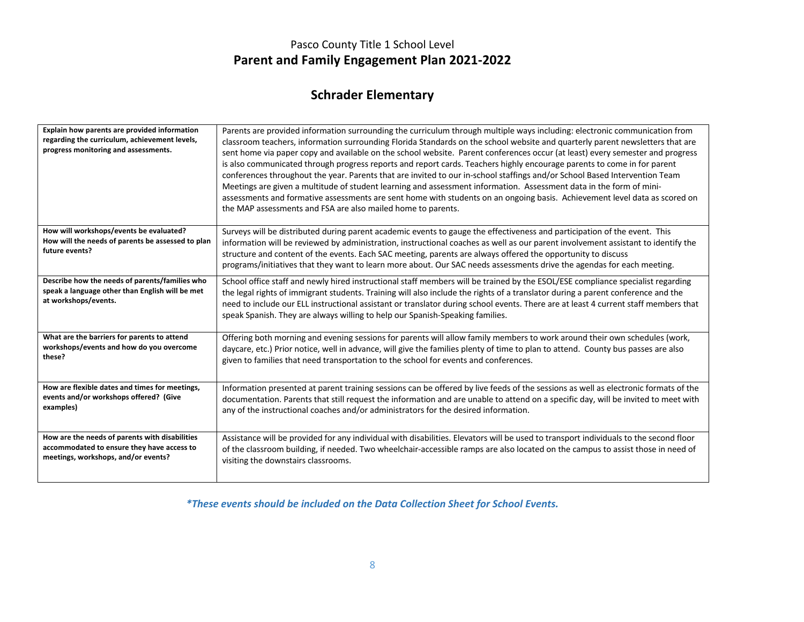# **Schrader Elementary**

| Explain how parents are provided information<br>regarding the curriculum, achievement levels,<br>progress monitoring and assessments. | Parents are provided information surrounding the curriculum through multiple ways including: electronic communication from<br>classroom teachers, information surrounding Florida Standards on the school website and quarterly parent newsletters that are<br>sent home via paper copy and available on the school website. Parent conferences occur (at least) every semester and progress<br>is also communicated through progress reports and report cards. Teachers highly encourage parents to come in for parent<br>conferences throughout the year. Parents that are invited to our in-school staffings and/or School Based Intervention Team<br>Meetings are given a multitude of student learning and assessment information. Assessment data in the form of mini-<br>assessments and formative assessments are sent home with students on an ongoing basis. Achievement level data as scored on<br>the MAP assessments and FSA are also mailed home to parents. |
|---------------------------------------------------------------------------------------------------------------------------------------|----------------------------------------------------------------------------------------------------------------------------------------------------------------------------------------------------------------------------------------------------------------------------------------------------------------------------------------------------------------------------------------------------------------------------------------------------------------------------------------------------------------------------------------------------------------------------------------------------------------------------------------------------------------------------------------------------------------------------------------------------------------------------------------------------------------------------------------------------------------------------------------------------------------------------------------------------------------------------|
| How will workshops/events be evaluated?<br>How will the needs of parents be assessed to plan<br>future events?                        | Surveys will be distributed during parent academic events to gauge the effectiveness and participation of the event. This<br>information will be reviewed by administration, instructional coaches as well as our parent involvement assistant to identify the<br>structure and content of the events. Each SAC meeting, parents are always offered the opportunity to discuss<br>programs/initiatives that they want to learn more about. Our SAC needs assessments drive the agendas for each meeting.                                                                                                                                                                                                                                                                                                                                                                                                                                                                   |
| Describe how the needs of parents/families who<br>speak a language other than English will be met<br>at workshops/events.             | School office staff and newly hired instructional staff members will be trained by the ESOL/ESE compliance specialist regarding<br>the legal rights of immigrant students. Training will also include the rights of a translator during a parent conference and the<br>need to include our ELL instructional assistant or translator during school events. There are at least 4 current staff members that<br>speak Spanish. They are always willing to help our Spanish-Speaking families.                                                                                                                                                                                                                                                                                                                                                                                                                                                                                |
| What are the barriers for parents to attend                                                                                           | Offering both morning and evening sessions for parents will allow family members to work around their own schedules (work,                                                                                                                                                                                                                                                                                                                                                                                                                                                                                                                                                                                                                                                                                                                                                                                                                                                 |
| workshops/events and how do you overcome                                                                                              | daycare, etc.) Prior notice, well in advance, will give the families plenty of time to plan to attend. County bus passes are also                                                                                                                                                                                                                                                                                                                                                                                                                                                                                                                                                                                                                                                                                                                                                                                                                                          |
| these?                                                                                                                                | given to families that need transportation to the school for events and conferences.                                                                                                                                                                                                                                                                                                                                                                                                                                                                                                                                                                                                                                                                                                                                                                                                                                                                                       |
| How are flexible dates and times for meetings,                                                                                        | Information presented at parent training sessions can be offered by live feeds of the sessions as well as electronic formats of the                                                                                                                                                                                                                                                                                                                                                                                                                                                                                                                                                                                                                                                                                                                                                                                                                                        |
| events and/or workshops offered? (Give                                                                                                | documentation. Parents that still request the information and are unable to attend on a specific day, will be invited to meet with                                                                                                                                                                                                                                                                                                                                                                                                                                                                                                                                                                                                                                                                                                                                                                                                                                         |
| examples)                                                                                                                             | any of the instructional coaches and/or administrators for the desired information.                                                                                                                                                                                                                                                                                                                                                                                                                                                                                                                                                                                                                                                                                                                                                                                                                                                                                        |
| How are the needs of parents with disabilities                                                                                        | Assistance will be provided for any individual with disabilities. Elevators will be used to transport individuals to the second floor                                                                                                                                                                                                                                                                                                                                                                                                                                                                                                                                                                                                                                                                                                                                                                                                                                      |
| accommodated to ensure they have access to                                                                                            | of the classroom building, if needed. Two wheelchair-accessible ramps are also located on the campus to assist those in need of                                                                                                                                                                                                                                                                                                                                                                                                                                                                                                                                                                                                                                                                                                                                                                                                                                            |
| meetings, workshops, and/or events?                                                                                                   | visiting the downstairs classrooms.                                                                                                                                                                                                                                                                                                                                                                                                                                                                                                                                                                                                                                                                                                                                                                                                                                                                                                                                        |

*\*These events should be included on the Data Collection Sheet for School Events.*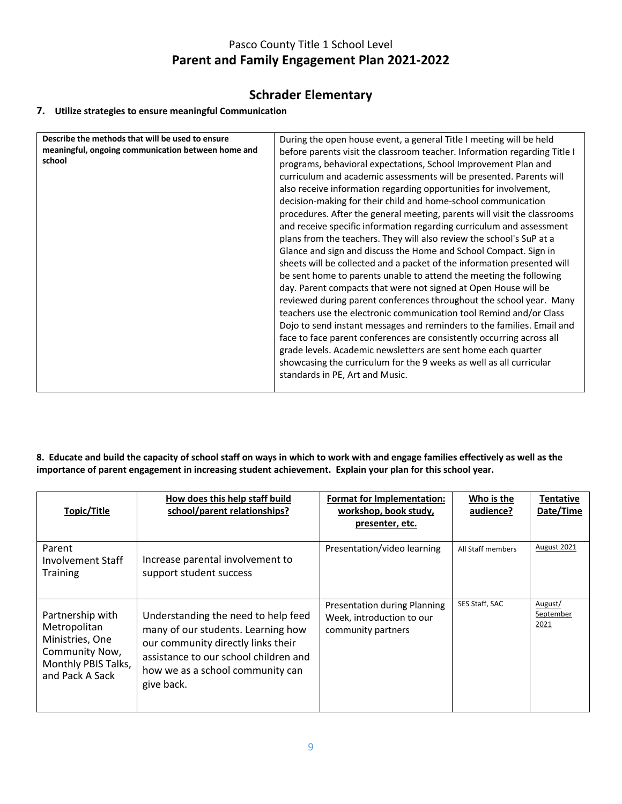### **Schrader Elementary**

#### **7. Utilize strategies to ensure meaningful Communication**

| Describe the methods that will be used to ensure   | During the open house event, a general Title I meeting will be held       |
|----------------------------------------------------|---------------------------------------------------------------------------|
| meaningful, ongoing communication between home and | before parents visit the classroom teacher. Information regarding Title I |
| school                                             | programs, behavioral expectations, School Improvement Plan and            |
|                                                    | curriculum and academic assessments will be presented. Parents will       |
|                                                    | also receive information regarding opportunities for involvement,         |
|                                                    | decision-making for their child and home-school communication             |
|                                                    | procedures. After the general meeting, parents will visit the classrooms  |
|                                                    | and receive specific information regarding curriculum and assessment      |
|                                                    | plans from the teachers. They will also review the school's SuP at a      |
|                                                    | Glance and sign and discuss the Home and School Compact. Sign in          |
|                                                    | sheets will be collected and a packet of the information presented will   |
|                                                    | be sent home to parents unable to attend the meeting the following        |
|                                                    | day. Parent compacts that were not signed at Open House will be           |
|                                                    | reviewed during parent conferences throughout the school year. Many       |
|                                                    | teachers use the electronic communication tool Remind and/or Class        |
|                                                    | Dojo to send instant messages and reminders to the families. Email and    |
|                                                    | face to face parent conferences are consistently occurring across all     |
|                                                    | grade levels. Academic newsletters are sent home each quarter             |
|                                                    | showcasing the curriculum for the 9 weeks as well as all curricular       |
|                                                    | standards in PE, Art and Music.                                           |
|                                                    |                                                                           |

**8. Educate and build the capacity of school staff on ways in which to work with and engage families effectively as well as the importance of parent engagement in increasing student achievement. Explain your plan for this school year.**

| Topic/Title                                                                                                     | How does this help staff build<br>school/parent relationships?                                                                                                                                             | Format for Implementation:<br>workshop, book study,<br>presenter, etc.          | Who is the<br>audience? | <b>Tentative</b><br>Date/Time |
|-----------------------------------------------------------------------------------------------------------------|------------------------------------------------------------------------------------------------------------------------------------------------------------------------------------------------------------|---------------------------------------------------------------------------------|-------------------------|-------------------------------|
| Parent<br><b>Involvement Staff</b><br><b>Training</b>                                                           | Increase parental involvement to<br>support student success                                                                                                                                                | Presentation/video learning                                                     | All Staff members       | August 2021                   |
| Partnership with<br>Metropolitan<br>Ministries, One<br>Community Now,<br>Monthly PBIS Talks,<br>and Pack A Sack | Understanding the need to help feed<br>many of our students. Learning how<br>our community directly links their<br>assistance to our school children and<br>how we as a school community can<br>give back. | Presentation during Planning<br>Week, introduction to our<br>community partners | SES Staff, SAC          | August/<br>September<br>2021  |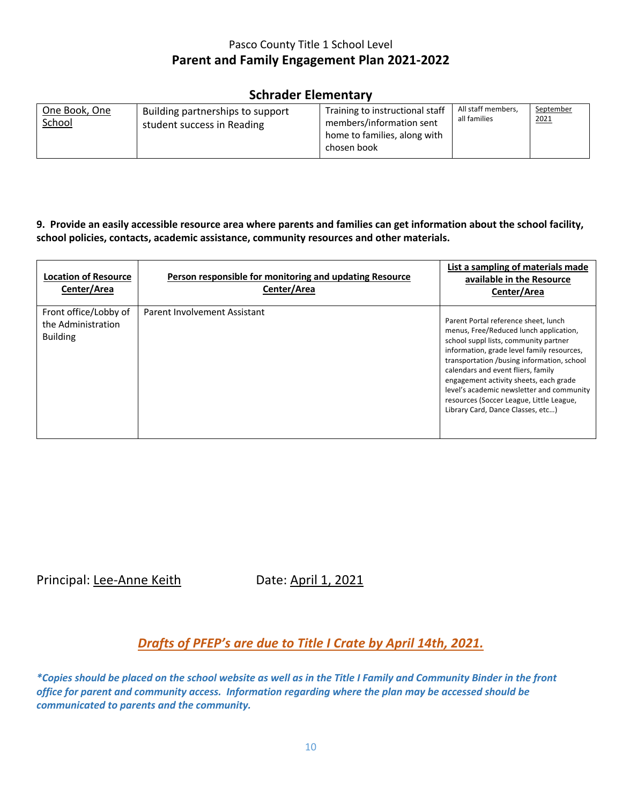### **Schrader Elementary**

| One Book, One<br>School | Building partnerships to support<br>student success in Reading | Training to instructional staff<br>members/information sent<br>home to families, along with<br>chosen book | All staff members,<br>all families | September<br>2021 |
|-------------------------|----------------------------------------------------------------|------------------------------------------------------------------------------------------------------------|------------------------------------|-------------------|
|-------------------------|----------------------------------------------------------------|------------------------------------------------------------------------------------------------------------|------------------------------------|-------------------|

#### **9. Provide an easily accessible resource area where parents and families can get information about the school facility, school policies, contacts, academic assistance, community resources and other materials.**

| <b>Location of Resource</b><br>Center/Area                     | Person responsible for monitoring and updating Resource<br>Center/Area | List a sampling of materials made<br>available in the Resource<br>Center/Area                                                                                                                                                                                                                                                                                                                                                     |
|----------------------------------------------------------------|------------------------------------------------------------------------|-----------------------------------------------------------------------------------------------------------------------------------------------------------------------------------------------------------------------------------------------------------------------------------------------------------------------------------------------------------------------------------------------------------------------------------|
| Front office/Lobby of<br>the Administration<br><b>Building</b> | Parent Involvement Assistant                                           | Parent Portal reference sheet, lunch<br>menus, Free/Reduced lunch application,<br>school suppl lists, community partner<br>information, grade level family resources,<br>transportation /busing information, school<br>calendars and event fliers, family<br>engagement activity sheets, each grade<br>level's academic newsletter and community<br>resources (Soccer League, Little League,<br>Library Card, Dance Classes, etc) |

Principal: Lee-Anne Keith Date: April 1, 2021

## *Drafts of PFEP's are due to Title I Crate by April 14th, 2021.*

*\*Copies should be placed on the school website as well as in the Title I Family and Community Binder in the front office for parent and community access. Information regarding where the plan may be accessed should be communicated to parents and the community.*